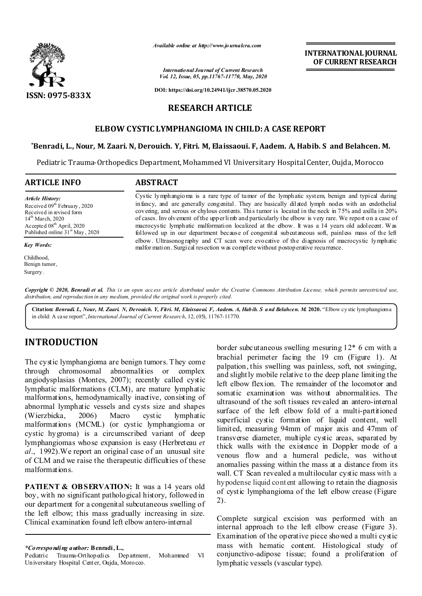

*Available online at http://www.journalcra.com*

*International Journal of Current Research Vol. 12, Issue, 05, pp.11767-11770, May, 2020*

**DOI: https://doi.org/10.24941/ijcr.38570.05.2020**

## **RESEARCH ARTICLE**

## **ELBOW CYSTIC LYMPHANGIOMA IN CHILD: A CASE REPORT**

### **\*Benradi, L., Nour, M. Zaari. N, Derouich. Y, Fitri. M, Elaissaoui. F, Aadem. A, Habib. S and Belahcen. M.**

Pediatric Trauma-Orthopedics Department, Mohammed VI Universitary Hospital Center, Oujda, Morocco

### **ARTICLE INFO ABSTRACT**

*Article History:* Received 09<sup>th</sup> February, 2020 Received in revised form 14<sup>th</sup> March, 2020 Accepted 08<sup>th</sup> April, 2020 Published online  $31<sup>st</sup>$  May, 2020

*Key Words:*

Childhood, Benign tumor, Surgery.

Cystic lymphangioma is a rare type of tumor of the lymphatic system, benign and typical during infancy, and are generally congenital. They are basically dilated lymph nodes with an endothelial covering, and serous or chylous contents. This tumor is located in the neck in 75% and axilla in 20% of cases. Involvement of the upper limb and particularly the elbow is very rare. We report on a case of macrocystic lymphatic malformation localized at the elbow. It was a 14 years old adolecent. Was followed up in our department because of congenital subcutaneous soft, painless mass of the left elbow. Ultrasonography and CT scan were evocative of the diagnosis of macrocystic lymphatic malfor mation. Surgical resection was complete without postoperative recurrence.

Copyright © 2020, Benradi et al. This is an open access article distributed under the Creative Commons Attribution License, which permits unrestricted use, *distribution, and reproduction in any medium, provided the original work is properly cited.*

**Citation:** *Benradi. L, Nour, M. Zaari. N, Derouich. Y, Fitri. M, Elaissaoui. F, Aadem. A, Habib. S and Belahcen. M.* **2020.** "Elbow cystic lymphangioma in child: A case report",*International Journal of Current Research*, 12, (05), 11767-11770.

## **INTRODUCTION**

The cystic lymphangioma are benign tumors. They come through chromosomal abnormalities or complex angiodysplasias (Montes, 2007); recently called cystic lymphatic malformations (CLM), are mature lymphatic malformations, hemodynamically inactive, consisting of abnormal lymphatic vessels and cysts size and shapes<br>(Wierzbicka, 2006) Macro cystic lymphatic (Wierzbicka, 2006) Macro cystic lymphatic malformations (MCML) (or cystic lymphangioma or cystic hygroma) is a circumscribed variant of deep lymphangiomas whose expansion is easy (Herbreteau *et al*., 1992).We report an original case of an unusual site of CLM and we raise the therapeutic difficulties of these malformations.

**PATIENT & OBSERVATION:** It was a 14 years old boy, with no significant pathological history, followed in our department for a congenital subcutaneous swelling of the left elbow; this mass gradually increasing in size. Clinical examination found left elbow antero-internal

*\*Corresponding author:* **Benradi, L.,**

Pediatric Trauma-Orthopedics Department, Mohammed VI Universitary Hospital Center, Oujda, Morocco.

border subcutaneous swelling mesuring 12\* 6 cm with a brachial perimeter facing the 19 cm (Figure 1). At palpation, this swelling was painless, soft, not swinging, and slight ly mobile relative to the deep plane limiting the left elbow flexion. The remainder of the locomotor and somatic examination was without abnormalities. The ultrasound of the soft tissues revealed an antero-internal surface of the left elbow fold of a multi-partitioned superficial cystic formation of liquid content, well limited, measuring 94mm of major axis and 47mm of transverse diameter, multiple cystic areas, separated by thick walls with the existence in Doppler mode of a venous flow and a humeral pedicle, was without anomalies passing within the mass at a distance from its wall. CT Scan revealed a multilocular cystic mass with a hypodense liquid cont ent allowing to retain the diagnosis of cystic lymphangioma of the left elbow crease (Figure 2).

**INTERNATIONAL JOURNAL OF CURRENT RESEARCH**

Complete surgical excision was performed with an internal approach to the left elbow crease (Figure 3). Examination of the operative piece showed a multi cystic mass with hematic content. Histological study of conjunctivo-adipose tissue; found a proliferation of lymphatic vessels (vascular type).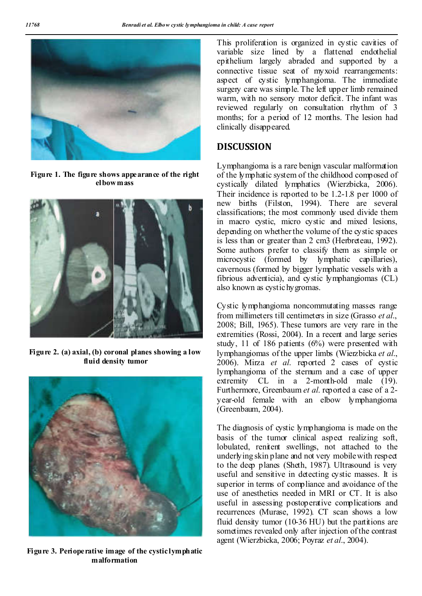

**Figure 1. The figure shows appearance of the right elbow mass**



**Figure 2. (a) axial, (b) coronal planes showing a low fluid density tumor**



**Figure 3. Perioperative image of the cystic lymphatic malformation**

This proliferation is organized in cystic cavities of variable size lined by a flattened endothelial epithelium largely abraded and supported by a connective tissue seat of myxoid rearrangements: aspect of cystic lymphangioma. The immediate surgery care was simple. The left upper limb remained warm, with no sensory motor deficit. The infant was reviewed regularly on consultation rhythm of 3 months; for a period of 12 months. The lesion had clinically disappeared.

## **DISCUSSION**

Lymphangioma is a rare benign vascular malformation of the lymphatic system of the childhood composed of cystically dilated lymphatics (Wierzbicka, 2006). Their incidence is reported to be 1.2-1.8 per 1000 of new births (Filston, 1994). There are several classifications; the most commonly used divide them in macro cystic, micro cystic and mixed lesions, depending on whether the volume of the cystic spaces is less than or greater than 2 cm3 (Herbreteau, 1992). Some authors prefer to classify them as simple or microcystic (formed by lymphatic capillaries), cavernous (formed by bigger lymphatic vessels with a fibrious adventicia), and cystic lymphangiomas (CL) also known as cystic hygromas.

Cystic lymphangioma noncommutating masses range from millimeters till centimeters in size (Grasso *et al*., 2008; Bill, 1965). These tumors are very rare in the extremities (Rossi, 2004). In a recent and large series study, 11 of 186 patients (6%) were presented with lymphangiomas of the upper limbs (Wierzbicka *et al*., 2006). Mirza *et al*. reported 2 cases of cystic lymphangioma of the sternum and a case of upper extremity CL in a 2-month-old male (19). Furthermore, Greenbaum *et al*. reported a case of a 2 year-old female with an elbow lymphangioma (Greenbaum, 2004).

The diagnosis of cystic lymphangioma is made on the basis of the tumor clinical aspect realizing soft, lobulated, renitent swellings, not attached to the underlying skin plane and not very mobile with respect to the deep planes (Sheth, 1987). Ultrasound is very useful and sensitive in detecting cystic masses. It is superior in terms of compliance and avoidance of the use of anesthetics needed in MRI or CT. It is also useful in assessing postoperative complications and recurrences (Murase, 1992). CT scan shows a low fluid density tumor (10-36 HU) but the partitions are sometimes revealed only after injection of the contrast agent (Wierzbicka, 2006; Poyraz *et al*., 2004).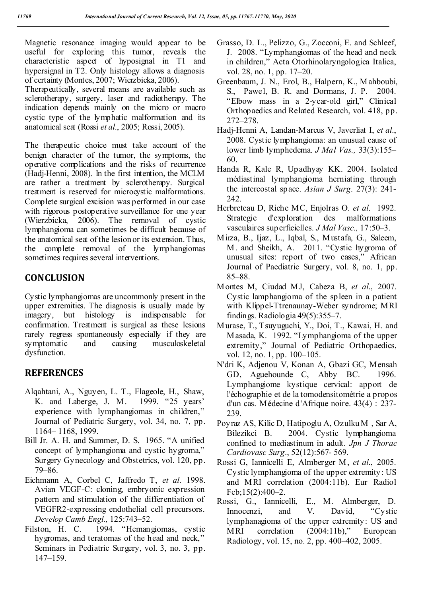Magnetic resonance imaging would appear to be useful for exploring this tumor, reveals the characteristic aspect of hyposignal in T1 and hypersignal in T2. Only histology allows a diagnosis of certainty (Montes, 2007; Wierzbicka, 2006).

Therapeutically, several means are available such as sclerotherapy, surgery, laser and radiotherapy. The indication depends mainly on the micro or macro cystic type of the lymphatic malformation and its anatomical seat (Rossi *et al*., 2005; Rossi, 2005).

The therapeutic choice must take account of the benign character of the tumor, the symptoms, the operative complications and the risks of recurrence (Hadj-Henni, 2008). In the first intention, the MCLM are rather a treatment by sclerotherapy. Surgical treatment is reserved for microcystic malformations. Complete surgical excision was performed in our case with rigorous postoperative surveillance for one year (Wierzbicka, 2006). The removal of cystic lymphangioma can sometimes be difficult because of the anatomical seat of the lesion or its extension. Thus, the complete removal of the lymphangiomas sometimes requires several interventions.

# **CONCLUSION**

Cystic lymphangiomas are uncommonly present in the upper extremities. The diagnosis is usually made by imagery, but histology is indispensable for confirmation. Treatment is surgical as these lesions rarely regress spontaneously especially if they are symptomatic and causing musculoskeletal dysfunction.

# **REFERENCES**

- Alqahtani, A., Nguyen, L. T., Flageole, H., Shaw, K. and Laberge, J. M. 1999. "25 years' experience with lymphangiomas in children," Journal of Pediatric Surgery, vol. 34, no. 7, pp. 1164– 1168, 1999.
- Bill Jr. A. H. and Summer, D. S. 1965. "A unified concept of lymphangioma and cystic hygroma," Surgery Gynecology and Obstetrics, vol. 120, pp. 79–86.
- Eichmann A, Corbel C, Jaffredo T, *et al*. 1998. Avian VEGF-C: cloning, embryonic expression pattern and stimulation of the differentiation of VEGFR2-expressing endothelial cell precursors. *Develop Camb Engl.,* 125:743–52.
- Filston, H. C. 1994. "Hemangiomas, cystic hygromas, and teratomas of the head and neck," Seminars in Pediatric Surgery, vol. 3, no. 3, pp. 147–159.
- Grasso, D. L., Pelizzo, G., Zocconi, E. and Schleef, J. 2008. "Lymphangiomas of the head and neck in children," Acta Otorhinolaryngologica Italica, vol. 28, no. 1, pp. 17–20.
- Greenbaum, J. N., Erol, B., Halpern, K., M ahboubi, S., Pawel, B. R. and Dormans, J. P. 2004. "Elbow mass in a 2-year-old girl," Clinical Orthopaedics and Related Research, vol. 418, pp. 272–278.
- Hadj-Henni A, Landan-Marcus V, Javerliat I, *et al*., 2008. Cystic lymphangioma: an unusual cause of lower limb lymphedema. *J Mal Vas.,* 33(3):155– 60.
- Handa R, Kale R, Upadhyay KK. 2004. Isolated médiastinal lymphangioma herniating through the intercostal space. *Asian J Surg*. 27(3): 241- 242.
- Herbreteau D, Riche MC, Enjolras O. *et al*. 1992. Strategie d'exploration des malformations vasculaires superficielles. *J Mal Vasc.,* 17:50–3.
- Mirza, B., Ijaz, L., Iqbal, S., Mustafa, G., Saleem, M. and Sheikh, A. 2011. "Cystic hygroma of unusual sites: report of two cases," African Journal of Paediatric Surgery, vol. 8, no. 1, pp. 85–88.
- Montes M, Ciudad MJ, Cabeza B, *et al*., 2007. Cystic lamphangioma of the spleen in a patient with Klippel-Ttrenaunay-Weber syndrome; MRI findings. Radiologia 49(5):355–7.
- Murase, T., Tsuyuguchi, Y., Doi, T., Kawai, H. and Masada, K. 1992. "Lymphangioma of the upper extremity," Journal of Pediatric Orthopaedics, vol. 12, no. 1, pp. 100–105.
- N'dri K, Adjenou V, Konan A, Gbazi GC, Mensah GD, Aguehounde C, Abby BC. 1996. Lymphangiome kystique cervical: apport de l'échographie et de la tomodensitométrie a propos d'un cas. Médecine d'Afrique noire. 43(4) : 237- 239.
- Poyraz AS, Kilic D, Hatipoglu A, Ozulku M , Sar A, Bilezikci B. 2004. Cystic lymphangioma confined to mediastinum in adult. *Jpn J Thorac Cardiovasc Surg*., 52(12):567- 569.
- Rossi G, Iannicelli E, Almberger M, *et al*., 2005. Cystic lymphangioma of the upper extremity: US and MRI correlation (2004:11b). Eur Radiol Feb;15(2):400–2.
- Rossi, G., Iannicelli, E., M. Almberger, D. Innocenzi, and V. David, "Cystic lymphanagioma of the upper extremity: US and MRI correlation (2004:11b)," European Radiology, vol. 15, no. 2, pp. 400–402, 2005.